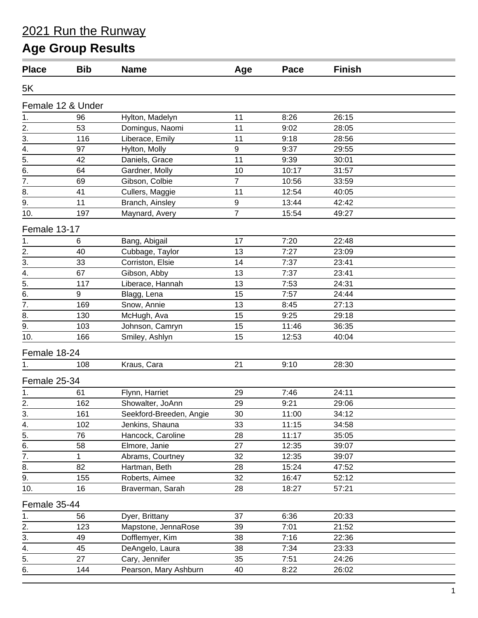## 2021 Run the Runway

# **Age Group Results**

| <b>Place</b>                          | <b>Bib</b>        | <b>Name</b>                                 | Age            | Pace          | <b>Finish</b>  |  |
|---------------------------------------|-------------------|---------------------------------------------|----------------|---------------|----------------|--|
| 5K                                    |                   |                                             |                |               |                |  |
|                                       | Female 12 & Under |                                             |                |               |                |  |
| 1.                                    | 96                | Hylton, Madelyn                             | 11             | 8:26          | 26:15          |  |
|                                       | 53                | Domingus, Naomi                             | 11             | 9:02          | 28:05          |  |
| $\frac{2.1}{3.4}$<br>$\frac{4.1}{5.}$ | 116               | Liberace, Emily                             | 11             | 9:18          | 28:56          |  |
|                                       | 97                | Hylton, Molly                               | 9              | 9:37          | 29:55          |  |
|                                       | 42                | Daniels, Grace                              | 11             | 9:39          | 30:01          |  |
| $\overline{6}$ .                      | 64                | Gardner, Molly                              | 10             | 10:17         | 31:57          |  |
| 7.                                    | 69                | Gibson, Colbie                              | $\overline{7}$ | 10:56         | 33:59          |  |
| 8.                                    | 41                | Cullers, Maggie                             | 11             | 12:54         | 40:05          |  |
| 9.                                    | 11                | Branch, Ainsley                             | 9              | 13:44         | 42:42          |  |
| 10.                                   | 197               | Maynard, Avery                              | $\overline{7}$ | 15:54         | 49:27          |  |
| Female 13-17                          |                   |                                             |                |               |                |  |
| 1.                                    | 6                 | Bang, Abigail                               | 17             | 7:20          | 22:48          |  |
|                                       | 40                | Cubbage, Taylor                             | 13             | 7:27          | 23:09          |  |
| $\frac{2}{3}$ .                       | 33                | Corriston, Elsie                            | 14             | 7:37          | 23:41          |  |
| $\overline{4}$ .                      | 67                | Gibson, Abby                                | 13             | 7:37          | 23:41          |  |
| $\frac{1}{5}$                         | 117               | Liberace, Hannah                            | 13             | 7:53          | 24:31          |  |
| 6.                                    | 9                 | Blagg, Lena                                 | 15             | 7:57          | 24:44          |  |
| $\overline{7}$ .                      | 169               | Snow, Annie                                 | 13             | 8:45          | 27:13          |  |
| 8.                                    | 130               | McHugh, Ava                                 | 15             | 9:25          | 29:18          |  |
| 9.                                    | 103               | Johnson, Camryn                             | 15             | 11:46         | 36:35          |  |
| 10.                                   | 166               | Smiley, Ashlyn                              | 15             | 12:53         | 40:04          |  |
| Female 18-24                          |                   |                                             |                |               |                |  |
| 1.                                    | 108               | Kraus, Cara                                 | 21             | 9:10          | 28:30          |  |
| Female 25-34                          |                   |                                             |                |               |                |  |
|                                       |                   |                                             | 29             |               | 24:11          |  |
| 1.                                    | 61<br>162         | Flynn, Harriet                              |                | 7:46          |                |  |
| 2.                                    | 161               | Showalter, JoAnn<br>Seekford-Breeden, Angie | 29<br>30       | 9:21<br>11:00 | 29:06<br>34:12 |  |
| $\frac{3}{4}$                         | 102               | Jenkins, Shauna                             | 33             | 11:15         | 34:58          |  |
| $\overline{5}$ .                      | 76                | Hancock, Caroline                           | 28             | 11:17         | 35:05          |  |
| $\overline{6}$ .                      | 58                | Elmore, Janie                               | 27             | 12:35         | 39:07          |  |
| $\overline{7}$ .                      |                   | Abrams, Courtney                            | 32             | 12:35         | 39:07          |  |
| 8.                                    | 1<br>82           | Hartman, Beth                               | 28             | 15:24         | 47:52          |  |
| $\overline{9}$ .                      | 155               | Roberts, Aimee                              | 32             | 16:47         | 52:12          |  |
| 10.                                   | 16                | Braverman, Sarah                            | 28             | 18:27         | 57:21          |  |
|                                       |                   |                                             |                |               |                |  |
| Female 35-44                          |                   |                                             |                |               |                |  |
| 1.                                    | 56                | Dyer, Brittany                              | 37             | 6:36          | 20:33          |  |
| $\overline{2}$ .                      | 123               | Mapstone, JennaRose                         | 39             | 7:01          | 21:52          |  |
| 3.                                    | 49                | Dofflemyer, Kim                             | 38             | 7:16          | 22:36          |  |
| 4.                                    | 45                | DeAngelo, Laura                             | 38             | 7:34          | 23:33          |  |
| $\overline{5}$ .                      | 27                | Cary, Jennifer                              | 35             | 7:51          | 24:26          |  |
| 6.                                    | 144               | Pearson, Mary Ashburn                       | 40             | 8:22          | 26:02          |  |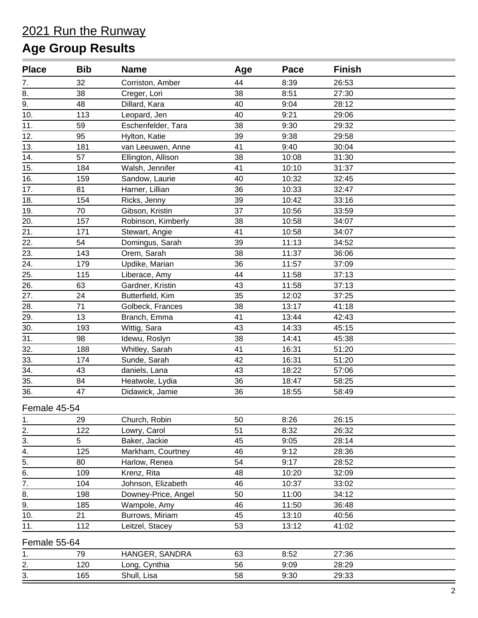## 2021 Run the Runway **Age Group Results**

| <b>Place</b>     | <b>Bib</b> | <b>Name</b>         | Age | Pace  | <b>Finish</b> |  |
|------------------|------------|---------------------|-----|-------|---------------|--|
| 7.               | 32         | Corriston, Amber    | 44  | 8:39  | 26:53         |  |
| $\overline{8}$ . | 38         | Creger, Lori        | 38  | 8:51  | 27:30         |  |
| 9.               | 48         | Dillard, Kara       | 40  | 9:04  | 28:12         |  |
| 10.              | 113        | Leopard, Jen        | 40  | 9:21  | 29:06         |  |
| 11.              | 59         | Eschenfelder, Tara  | 38  | 9:30  | 29:32         |  |
| 12.              | 95         | Hylton, Katie       | 39  | 9:38  | 29:58         |  |
| 13.              | 181        | van Leeuwen, Anne   | 41  | 9:40  | 30:04         |  |
| 14.              | 57         | Ellington, Allison  | 38  | 10:08 | 31:30         |  |
| 15.              | 184        | Walsh, Jennifer     | 41  | 10:10 | 31:37         |  |
| 16.              | 159        | Sandow, Laurie      | 40  | 10:32 | 32:45         |  |
| 17.              | 81         | Harner, Lillian     | 36  | 10:33 | 32:47         |  |
| 18.              | 154        | Ricks, Jenny        | 39  | 10:42 | 33:16         |  |
| 19.              | 70         | Gibson, Kristin     | 37  | 10:56 | 33:59         |  |
| 20.              | 157        | Robinson, Kimberly  | 38  | 10:58 | 34:07         |  |
| 21.              | 171        | Stewart, Angie      | 41  | 10:58 | 34:07         |  |
| 22.              | 54         | Domingus, Sarah     | 39  | 11:13 | 34:52         |  |
| 23.              | 143        | Orem, Sarah         | 38  | 11:37 | 36:06         |  |
| 24.              | 179        | Updike, Marian      | 36  | 11:57 | 37:09         |  |
| 25.              | 115        | Liberace, Amy       | 44  | 11:58 | 37:13         |  |
| 26.              | 63         | Gardner, Kristin    | 43  | 11:58 | 37:13         |  |
| 27.              | 24         | Butterfield, Kim    | 35  | 12:02 | 37:25         |  |
| 28.              | 71         | Golbeck, Frances    | 38  | 13:17 | 41:18         |  |
| 29.              | 13         | Branch, Emma        | 41  | 13:44 | 42:43         |  |
| 30.              | 193        | Wittig, Sara        | 43  | 14:33 | 45:15         |  |
| 31.              | 98         | Idewu, Roslyn       | 38  | 14:41 | 45:38         |  |
| 32.              | 188        | Whitley, Sarah      | 41  | 16:31 | 51:20         |  |
| 33.              | 174        | Sunde, Sarah        | 42  | 16:31 | 51:20         |  |
| 34.              | 43         | daniels, Lana       | 43  | 18:22 | 57:06         |  |
| 35.              | 84         | Heatwole, Lydia     | 36  | 18:47 | 58:25         |  |
| 36.              | 47         | Didawick, Jamie     | 36  | 18:55 | 58:49         |  |
| Female 45-54     |            |                     |     |       |               |  |
| 1.               | 29         | Church, Robin       | 50  | 8:26  | 26:15         |  |
| 2.               | 122        | Lowry, Carol        | 51  | 8:32  | 26:32         |  |
| 3.               | 5          | Baker, Jackie       | 45  | 9:05  | 28:14         |  |
| $\overline{4}$ . | 125        | Markham, Courtney   | 46  | 9:12  | 28:36         |  |
| $rac{5}{6}$      | 80         | Harlow, Renea       | 54  | 9:17  | 28:52         |  |
|                  | 109        | Krenz, Rita         | 48  | 10:20 | 32:09         |  |
| $\overline{7}$ . | 104        | Johnson, Elizabeth  | 46  | 10:37 | 33:02         |  |
| 8.               | 198        | Downey-Price, Angel | 50  | 11:00 | 34:12         |  |
| 9.               | 185        | Wampole, Amy        | 46  | 11:50 | 36:48         |  |
| 10.              | 21         | Burrows, Miriam     | 45  | 13:10 | 40:56         |  |
| 11.              | 112        | Leitzel, Stacey     | 53  | 13:12 | 41:02         |  |
| Female 55-64     |            |                     |     |       |               |  |
| 1.               | 79         | HANGER, SANDRA      | 63  | 8:52  | 27:36         |  |
| 2.               | 120        | Long, Cynthia       | 56  | 9:09  | 28:29         |  |
| $\frac{3}{2}$    | 165        | Shull, Lisa         | 58  | 9:30  | 29:33         |  |
|                  |            |                     |     |       |               |  |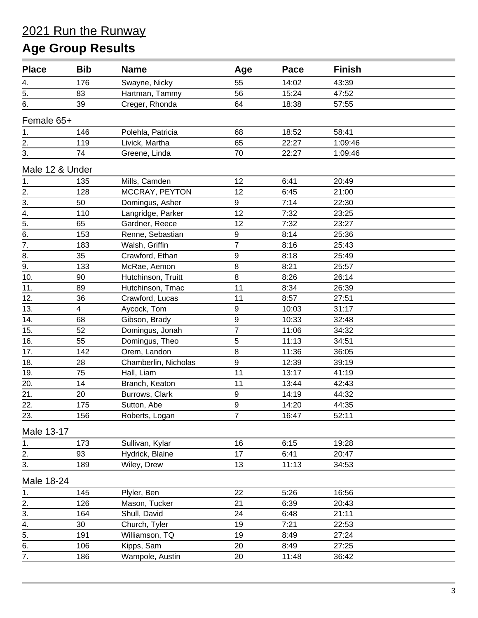## 2021 Run the Runway **Age Group Results**

| <b>Place</b>     | <b>Bib</b>     | <b>Name</b>          | Age              | Pace  | <b>Finish</b> |  |
|------------------|----------------|----------------------|------------------|-------|---------------|--|
| 4.               | 176            | Swayne, Nicky        | 55               | 14:02 | 43:39         |  |
| $\overline{5}$ . | 83             | Hartman, Tammy       | 56               | 15:24 | 47:52         |  |
| 6.               | 39             | Creger, Rhonda       | 64               | 18:38 | 57:55         |  |
| Female 65+       |                |                      |                  |       |               |  |
| $\mathbf 1$ .    | 146            | Polehla, Patricia    | 68               | 18:52 | 58:41         |  |
| 2.               | 119            | Livick, Martha       | 65               | 22:27 | 1:09:46       |  |
| 3.               | 74             | Greene, Linda        | 70               | 22:27 | 1:09:46       |  |
| Male 12 & Under  |                |                      |                  |       |               |  |
| 1.               | 135            | Mills, Camden        | 12               | 6:41  | 20:49         |  |
| 2.               | 128            | MCCRAY, PEYTON       | 12               | 6:45  | 21:00         |  |
| $\overline{3}$ . | 50             | Domingus, Asher      | $\boldsymbol{9}$ | 7:14  | 22:30         |  |
| $\overline{4}$ . | 110            | Langridge, Parker    | 12               | 7:32  | 23:25         |  |
| $\overline{5}$ . | 65             | Gardner, Reece       | 12               | 7:32  | 23:27         |  |
| 6.               | 153            | Renne, Sebastian     | $\boldsymbol{9}$ | 8:14  | 25:36         |  |
| $\overline{7}$ . | 183            | Walsh, Griffin       | $\overline{7}$   | 8:16  | 25:43         |  |
| 8.               | 35             | Crawford, Ethan      | 9                | 8:18  | 25:49         |  |
| 9.               | 133            | McRae, Aemon         | $\bf 8$          | 8:21  | 25:57         |  |
| 10.              | 90             | Hutchinson, Truitt   | 8                | 8:26  | 26:14         |  |
| 11.              | 89             | Hutchinson, Tmac     | 11               | 8:34  | 26:39         |  |
| 12.              | 36             | Crawford, Lucas      | 11               | 8:57  | 27:51         |  |
| 13.              | $\overline{4}$ | Aycock, Tom          | $\mathsf g$      | 10:03 | 31:17         |  |
| 14.              | 68             | Gibson, Brady        | 9                | 10:33 | 32:48         |  |
| 15.              | 52             | Domingus, Jonah      | $\overline{7}$   | 11:06 | 34:32         |  |
| 16.              | 55             | Domingus, Theo       | 5                | 11:13 | 34:51         |  |
| 17.              | 142            | Orem, Landon         | 8                | 11:36 | 36:05         |  |
| 18.              | 28             | Chamberlin, Nicholas | $\mathsf g$      | 12:39 | 39:19         |  |
| 19.              | 75             | Hall, Liam           | 11               | 13:17 | 41:19         |  |
| 20.              | 14             | Branch, Keaton       | 11               | 13:44 | 42:43         |  |
| 21.              | 20             | Burrows, Clark       | $\boldsymbol{9}$ | 14:19 | 44:32         |  |
| 22.              | 175            | Sutton, Abe          | 9                | 14:20 | 44:35         |  |
| 23.              | 156            | Roberts, Logan       | 7                | 16:47 | 52:11         |  |
| Male 13-17       |                |                      |                  |       |               |  |
| 1.               | 173            | Sullivan, Kylar      | 16               | 6:15  | 19:28         |  |
| 2.               | 93             | Hydrick, Blaine      | 17               | 6:41  | 20:47         |  |
| 3.               | 189            | Wiley, Drew          | 13               | 11:13 | 34:53         |  |
| Male 18-24       |                |                      |                  |       |               |  |
| $\mathbf 1$ .    | 145            | Plyler, Ben          | 22               | 5:26  | 16:56         |  |
| 2.               | 126            | Mason, Tucker        | 21               | 6:39  | 20:43         |  |
| 3.               | 164            | Shull, David         | 24               | 6:48  | 21:11         |  |
| $\overline{4}$ . | 30             | Church, Tyler        | 19               | 7:21  | 22:53         |  |
| $\overline{5}$ . | 191            | Williamson, TQ       | 19               | 8:49  | 27:24         |  |
| 6.               | 106            | Kipps, Sam           | 20               | 8:49  | 27:25         |  |
| $\overline{7}$ . | 186            | Wampole, Austin      | 20               | 11:48 | 36:42         |  |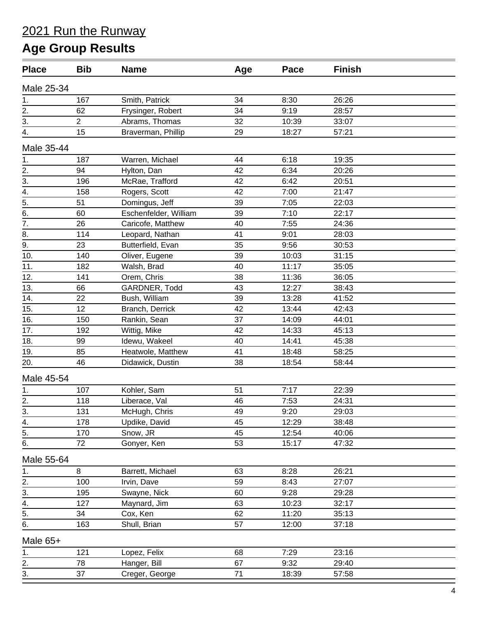## 2021 Run the Runway **Age Group Results**

| <b>Place</b>                           | <b>Bib</b>     | <b>Name</b>           | Age | Pace  | <b>Finish</b> |  |
|----------------------------------------|----------------|-----------------------|-----|-------|---------------|--|
| Male 25-34                             |                |                       |     |       |               |  |
| 1.                                     | 167            | Smith, Patrick        | 34  | 8:30  | 26:26         |  |
| $\overline{2}$ .                       | 62             | Frysinger, Robert     | 34  | 9:19  | 28:57         |  |
| 3.                                     | $\overline{2}$ | Abrams, Thomas        | 32  | 10:39 | 33:07         |  |
| 4.                                     | 15             | Braverman, Phillip    | 29  | 18:27 | 57:21         |  |
| Male 35-44                             |                |                       |     |       |               |  |
| $\frac{1}{ }$                          | 187            | Warren, Michael       | 44  | 6:18  | 19:35         |  |
|                                        | 94             | Hylton, Dan           | 42  | 6:34  | 20:26         |  |
| $\frac{2}{3}$ .<br>4.                  | 196            | McRae, Trafford       | 42  | 6:42  | 20:51         |  |
|                                        | 158            | Rogers, Scott         | 42  | 7:00  | 21:47         |  |
| $\overline{5}$ .                       | 51             | Domingus, Jeff        | 39  | 7:05  | 22:03         |  |
| $\overline{6}$ .                       | 60             | Eschenfelder, William | 39  | 7:10  | 22:17         |  |
| $\overline{7}$ .                       | 26             | Caricofe, Matthew     | 40  | 7:55  | 24:36         |  |
| 8.                                     | 114            | Leopard, Nathan       | 41  | 9:01  | 28:03         |  |
| 9.                                     | 23             | Butterfield, Evan     | 35  | 9:56  | 30:53         |  |
| 10.                                    | 140            | Oliver, Eugene        | 39  | 10:03 | 31:15         |  |
| 11.                                    | 182            | Walsh, Brad           | 40  | 11:17 | 35:05         |  |
| 12.                                    | 141            | Orem, Chris           | 38  | 11:36 | 36:05         |  |
| 13.                                    | 66             | GARDNER, Todd         | 43  | 12:27 | 38:43         |  |
| 14.                                    | 22             | Bush, William         | 39  | 13:28 | 41:52         |  |
| 15.                                    | 12             | Branch, Derrick       | 42  | 13:44 | 42:43         |  |
| 16.                                    | 150            | Rankin, Sean          | 37  | 14:09 | 44:01         |  |
| 17.                                    | 192            | Wittig, Mike          | 42  | 14:33 | 45:13         |  |
| 18.                                    | 99             | Idewu, Wakeel         | 40  | 14:41 | 45:38         |  |
| 19.                                    | 85             | Heatwole, Matthew     | 41  | 18:48 | 58:25         |  |
| 20.                                    | 46             | Didawick, Dustin      | 38  | 18:54 | 58:44         |  |
| Male 45-54                             |                |                       |     |       |               |  |
| 1.                                     | 107            | Kohler, Sam           | 51  | 7:17  | 22:39         |  |
| 2.                                     | 118            | Liberace, Val         | 46  | 7:53  | 24:31         |  |
|                                        | 131            | McHugh, Chris         | 49  | 9:20  | 29:03         |  |
| $\frac{3}{4}$                          | 178            | Updike, David         | 45  | 12:29 | 38:48         |  |
| $\overline{5}$ .                       | 170            | Snow, JR              | 45  | 12:54 | 40:06         |  |
| 6.                                     | 72             | Gonyer, Ken           | 53  | 15:17 | 47:32         |  |
| Male 55-64                             |                |                       |     |       |               |  |
|                                        | 8              | Barrett, Michael      | 63  | 8:28  | 26:21         |  |
| $\overline{\phantom{a}}$               | 100            | Irvin, Dave           | 59  | 8:43  | 27:07         |  |
|                                        | 195            | Swayne, Nick          | 60  | 9:28  | 29:28         |  |
|                                        | 127            | Maynard, Jim          | 63  | 10:23 | 32:17         |  |
|                                        | 34             | Cox, Ken              | 62  | 11:20 | 35:13         |  |
| $\frac{2.1}{3.4}$<br>$\frac{4.1}{5.6}$ | 163            | Shull, Brian          | 57  | 12:00 | 37:18         |  |
|                                        |                |                       |     |       |               |  |
| Male 65+                               |                |                       |     |       |               |  |
| 1.                                     | 121            | Lopez, Felix          | 68  | 7:29  | 23:16         |  |
| 2.                                     | 78             | Hanger, Bill          | 67  | 9:32  | 29:40         |  |
| 3.                                     | 37             | Creger, George        | 71  | 18:39 | 57:58         |  |